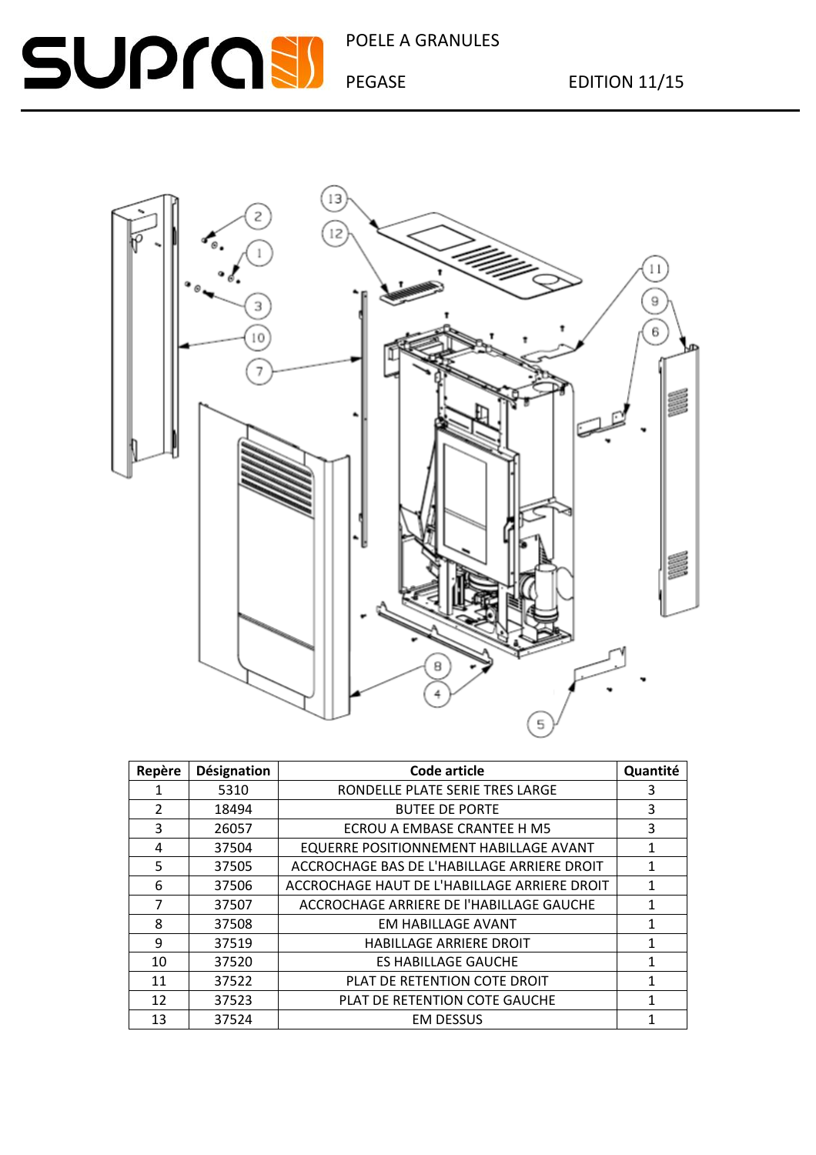### POELE A GRANULES

# **SUPROSI**



| Repère         | <b>Désignation</b> | Code article                                 | Quantité |
|----------------|--------------------|----------------------------------------------|----------|
| 1              | 5310               | RONDELLE PLATE SERIE TRES LARGE              | 3        |
| $\overline{2}$ | 18494              | <b>BUTEE DE PORTE</b>                        | 3        |
| 3              | 26057              | ECROU A EMBASE CRANTEE H M5                  | 3        |
| 4              | 37504              | EQUERRE POSITIONNEMENT HABILLAGE AVANT       | 1        |
| 5              | 37505              | ACCROCHAGE BAS DE L'HABILLAGE ARRIERE DROIT  | 1        |
| 6              | 37506              | ACCROCHAGE HAUT DE L'HABILLAGE ARRIERE DROIT | 1        |
| 7              | 37507              | ACCROCHAGE ARRIERE DE l'HABILLAGE GAUCHE     | 1        |
| 8              | 37508              | <b>EM HABILLAGE AVANT</b>                    | 1        |
| 9              | 37519              | <b>HABILLAGE ARRIERE DROIT</b>               | 1        |
| 10             | 37520              | <b>ES HABILLAGE GAUCHE</b>                   | 1        |
| 11             | 37522              | PLAT DE RETENTION COTE DROIT                 | 1        |
| 12             | 37523              | PLAT DE RETENTION COTE GAUCHE                | 1        |
| 13             | 37524              | <b>EM DESSUS</b>                             |          |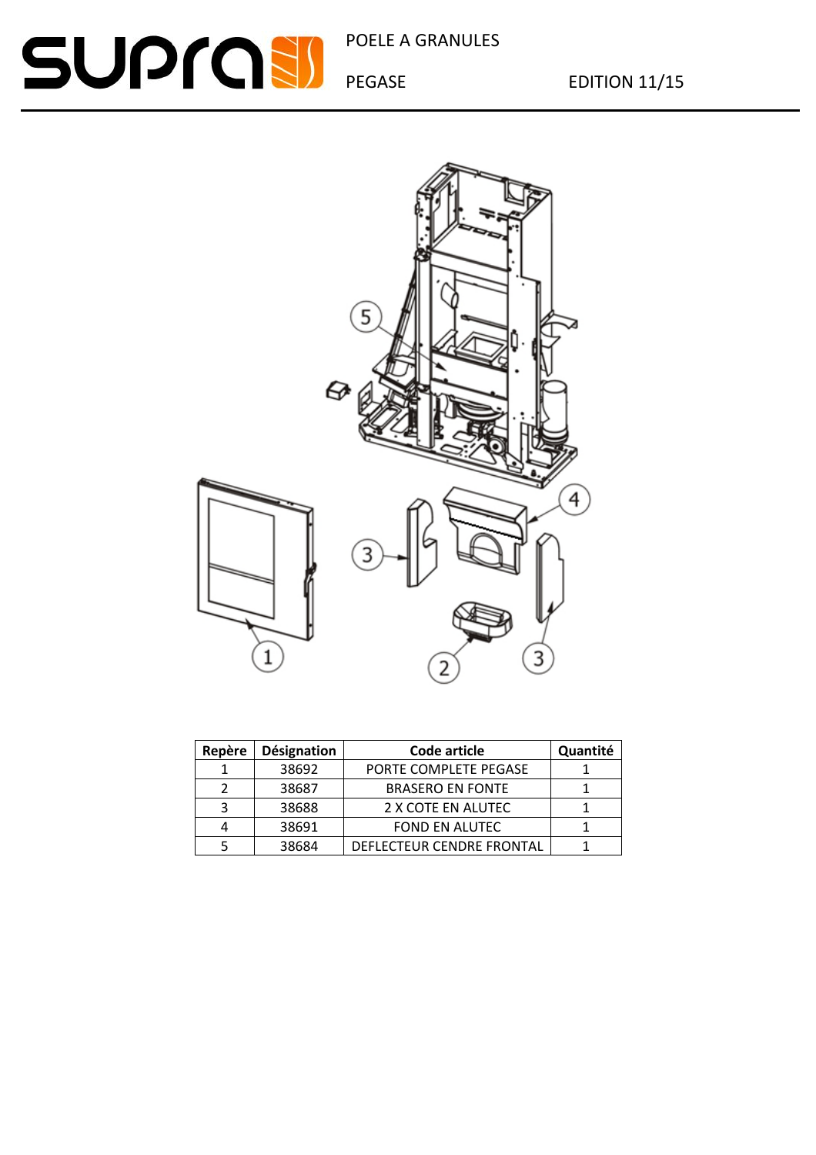POELE A GRANULES

## **SUPROSI**

PEGASE EDITION 11/15



| Repère | Désignation | Code article              | Quantité |
|--------|-------------|---------------------------|----------|
|        | 38692       | PORTE COMPLETE PEGASE     |          |
|        | 38687       | <b>BRASERO EN FONTE</b>   |          |
| З      | 38688       | 2 X COTE EN ALUTEC        |          |
|        | 38691       | <b>FOND EN ALUTEC</b>     |          |
|        | 38684       | DEFLECTEUR CENDRE FRONTAL |          |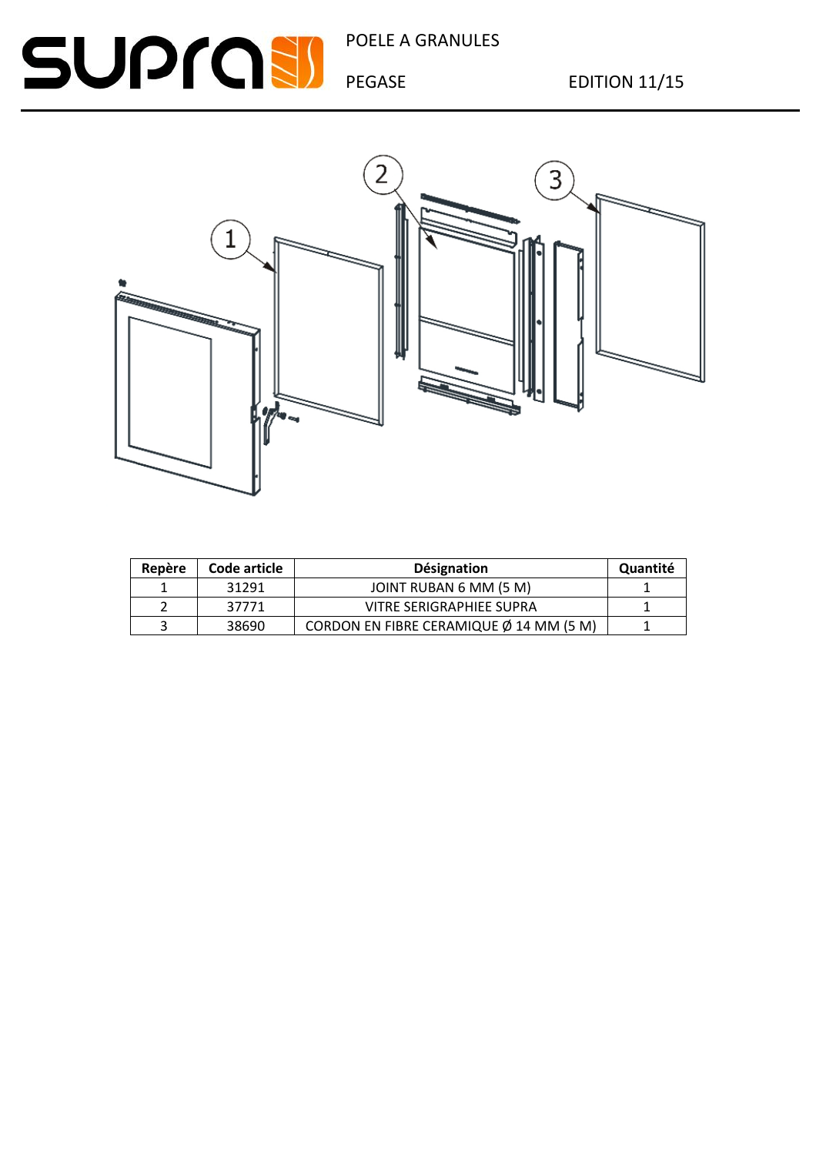## SUPCSI POELE A GRANULES



| Repère | Code article | <b>Désignation</b>                      | Quantité |
|--------|--------------|-----------------------------------------|----------|
|        | 31291        | JOINT RUBAN 6 MM (5 M)                  |          |
|        | 37771        | VITRE SERIGRAPHIEE SUPRA                |          |
|        | 38690        | CORDON EN FIBRE CERAMIQUE Ø 14 MM (5 M) |          |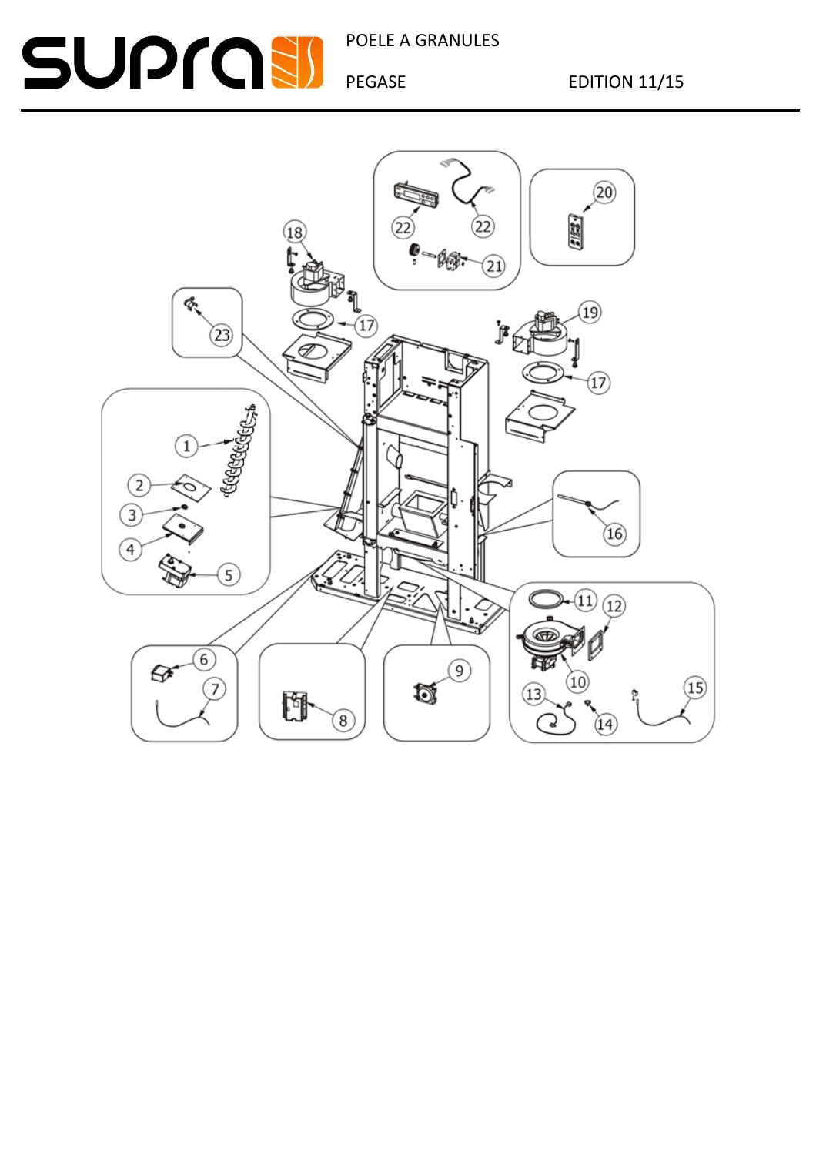### POELE A GRANULES

### **SUPROSI**

PEGASE EDITION 11/15